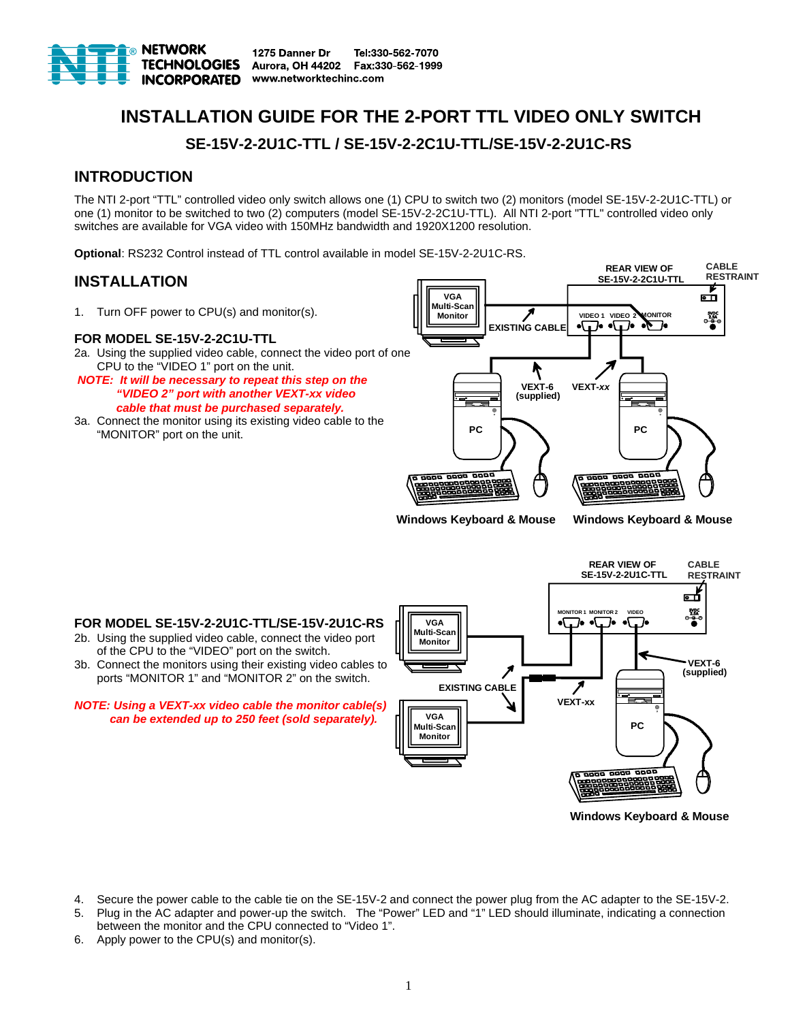

# **INSTALLATION GUIDE FOR THE 2-PORT TTL VIDEO ONLY SWITCH SE-15V-2-2U1C-TTL / SE-15V-2-2C1U-TTL/SE-15V-2-2U1C-RS**

# **INTRODUCTION**

The NTI 2-port "TTL" controlled video only switch allows one (1) CPU to switch two (2) monitors (model SE-15V-2-2U1C-TTL) or one (1) monitor to be switched to two (2) computers (model SE-15V-2-2C1U-TTL). All NTI 2-port "TTL" controlled video only switches are available for VGA video with 150MHz bandwidth and 1920X1200 resolution.

**Optional**: RS232 Control instead of TTL control available in model SE-15V-2-2U1C-RS.

# **INSTALLATION**

1. Turn OFF power to CPU(s) and monitor(s).

#### **FOR MODEL SE-15V-2-2C1U-TTL**

- 2a. Using the supplied video cable, connect the video port of one CPU to the "VIDEO 1" port on the unit.
- *NOTE: It will be necessary to repeat this step on the "VIDEO 2" port with another VEXT-xx video cable that must be purchased separately.*
- 3a. Connect the monitor using its existing video cable to the "MONITOR" port on the unit.



**Windows Keyboard & Mouse Windows Keyboard & Mouse**

#### **FOR MODEL SE-15V-2-2U1C-TTL/SE-15V-2U1C-RS**

- 2b. Using the supplied video cable, connect the video port of the CPU to the "VIDEO" port on the switch.
- 3b. Connect the monitors using their existing video cables to ports "MONITOR 1" and "MONITOR 2" on the switch.

*NOTE: Using a VEXT-xx video cable the monitor cable(s) can be extended up to 250 feet (sold separately).*



**Windows Keyboard & Mouse**

- 4. Secure the power cable to the cable tie on the SE-15V-2 and connect the power plug from the AC adapter to the SE-15V-2.
- 5. Plug in the AC adapter and power-up the switch. The "Power" LED and "1" LED should illuminate, indicating a connection between the monitor and the CPU connected to "Video 1".
- 6. Apply power to the CPU(s) and monitor(s).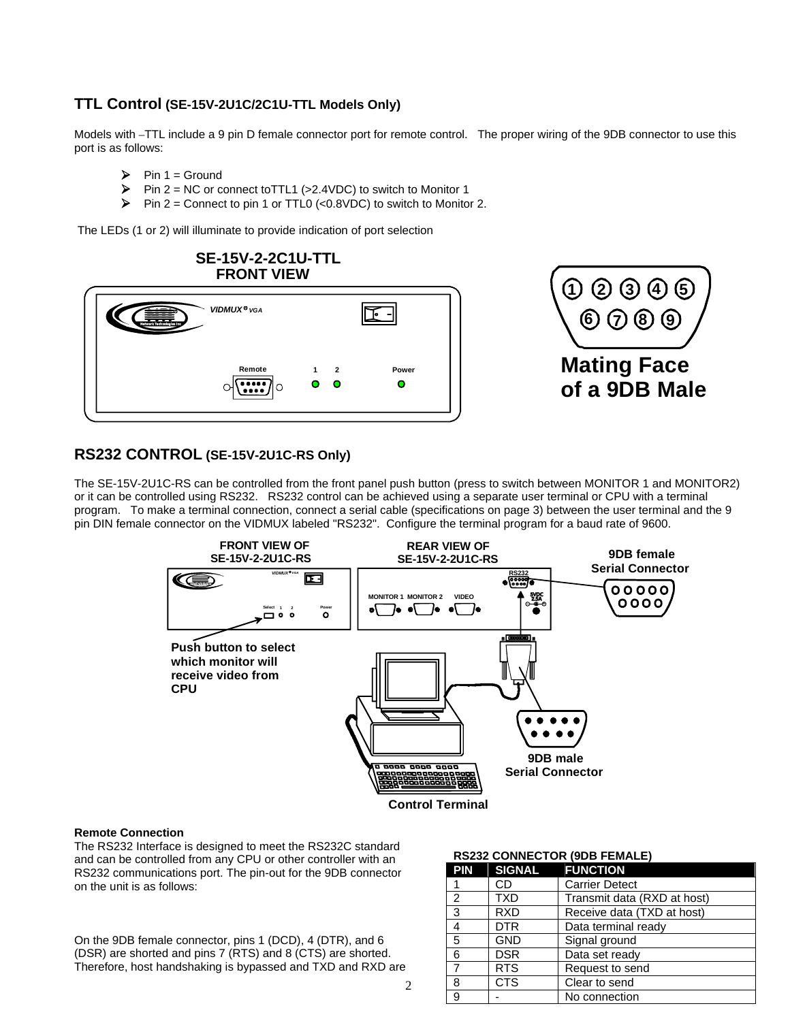# **TTL Control (SE-15V-2U1C/2C1U-TTL Models Only)**

Models with –TTL include a 9 pin D female connector port for remote control. The proper wiring of the 9DB connector to use this port is as follows:

- $\triangleright$  Pin 1 = Ground
- $\triangleright$  Pin 2 = NC or connect to TTL1 (>2.4VDC) to switch to Monitor 1
- $\triangleright$  Pin 2 = Connect to pin 1 or TTL0 (<0.8VDC) to switch to Monitor 2.

The LEDs (1 or 2) will illuminate to provide indication of port selection



## **RS232 CONTROL (SE-15V-2U1C-RS Only)**

The SE-15V-2U1C-RS can be controlled from the front panel push button (press to switch between MONITOR 1 and MONITOR2) or it can be controlled using RS232. RS232 control can be achieved using a separate user terminal or CPU with a terminal program. To make a terminal connection, connect a serial cable (specifications on page 3) between the user terminal and the 9 pin DIN female connector on the VIDMUX labeled "RS232". Configure the terminal program for a baud rate of 9600.



#### **Remote Connection**

The RS232 Interface is designed to meet the RS232C standard and can be controlled from any CPU or other controller with an RS232 communications port. The pin-out for the 9DB connector on the unit is as follows:

On the 9DB female connector, pins 1 (DCD), 4 (DTR), and 6 (DSR) are shorted and pins 7 (RTS) and 8 (CTS) are shorted. Therefore, host handshaking is bypassed and TXD and RXD are

#### **RS232 CONNECTOR (9DB FEMALE)**

| <b>PIN</b>     | <b>SIGNAL</b> | <b>FUNCTION</b>             |
|----------------|---------------|-----------------------------|
|                | CD            | <b>Carrier Detect</b>       |
| $\overline{2}$ | <b>TXD</b>    | Transmit data (RXD at host) |
| 3              | <b>RXD</b>    | Receive data (TXD at host)  |
| $\overline{4}$ | <b>DTR</b>    | Data terminal ready         |
| $\overline{5}$ | <b>GND</b>    | Signal ground               |
| 6              | <b>DSR</b>    | Data set ready              |
| $\overline{7}$ | <b>RTS</b>    | Request to send             |
| 8              | <b>CTS</b>    | Clear to send               |
| 9              |               | No connection               |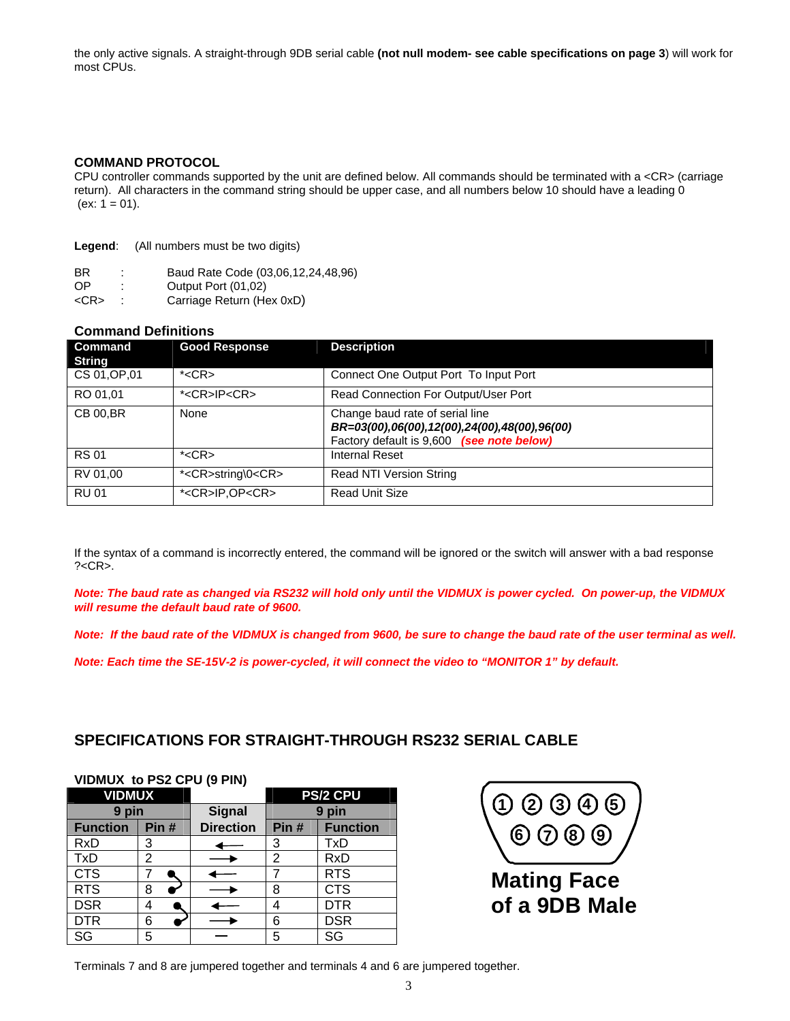the only active signals. A straight-through 9DB serial cable **(not null modem- see cable specifications on page 3**) will work for most CPUs.

#### **COMMAND PROTOCOL**

CPU controller commands supported by the unit are defined below. All commands should be terminated with a <CR> (carriage return). All characters in the command string should be upper case, and all numbers below 10 should have a leading 0  $(ex: 1 = 01).$ 

| Legend:   | (All numbers must be two digits)   |
|-----------|------------------------------------|
| <b>BR</b> | Baud Rate Code (03,06,12,24,48,96) |

OP : Output Port (01,02)

<CR> : Carriage Return (Hex 0xD)

#### **Command Definitions**

| Command<br><b>String</b> | <b>Good Response</b>         | <b>Description</b>                                                                                                           |
|--------------------------|------------------------------|------------------------------------------------------------------------------------------------------------------------------|
| CS 01, OP, 01            | $*<$ CR $>$                  | Connect One Output Port To Input Port                                                                                        |
| RO 01.01                 | * <cr>IP<cr></cr></cr>       | Read Connection For Output/User Port                                                                                         |
| <b>CB 00, BR</b>         | None                         | Change baud rate of serial line<br>BR=03(00),06(00),12(00),24(00),48(00),96(00)<br>Factory default is 9,600 (see note below) |
| <b>RS01</b>              | $*<$ CR $>$                  | Internal Reset                                                                                                               |
| RV 01,00                 | * <cr>string\0<cr></cr></cr> | Read NTI Version String                                                                                                      |
| <b>RU01</b>              | * <cr>IP,OP<cr></cr></cr>    | <b>Read Unit Size</b>                                                                                                        |

If the syntax of a command is incorrectly entered, the command will be ignored or the switch will answer with a bad response  $? < CR$ .

*Note: The baud rate as changed via RS232 will hold only until the VIDMUX is power cycled. On power-up, the VIDMUX will resume the default baud rate of 9600.* 

*Note: If the baud rate of the VIDMUX is changed from 9600, be sure to change the baud rate of the user terminal as well.* 

*Note: Each time the SE-15V-2 is power-cycled, it will connect the video to "MONITOR 1" by default.* 

## **SPECIFICATIONS FOR STRAIGHT-THROUGH RS232 SERIAL CABLE**

### **VIDMUX to PS2 CPU (9 PIN)**

| <b>VIDMUX</b>   |      |                  | <b>PS/2 CPU</b> |                 |
|-----------------|------|------------------|-----------------|-----------------|
| 9 pin           |      | <b>Signal</b>    | 9 pin           |                 |
| <b>Function</b> | Pin# | <b>Direction</b> | Pin#            | <b>Function</b> |
| <b>RxD</b>      | 3    |                  | 3               | TxD             |
| <b>TxD</b>      | 2    |                  | 2               | <b>RxD</b>      |
| <b>CTS</b>      |      |                  |                 | <b>RTS</b>      |
| <b>RTS</b>      | 8    |                  | 8               | <b>CTS</b>      |
| <b>DSR</b>      | 4    |                  |                 | <b>DTR</b>      |
| <b>DTR</b>      | 6    |                  | 6               | <b>DSR</b>      |
| SG              | 5    |                  | 5               | SG              |



Terminals 7 and 8 are jumpered together and terminals 4 and 6 are jumpered together.